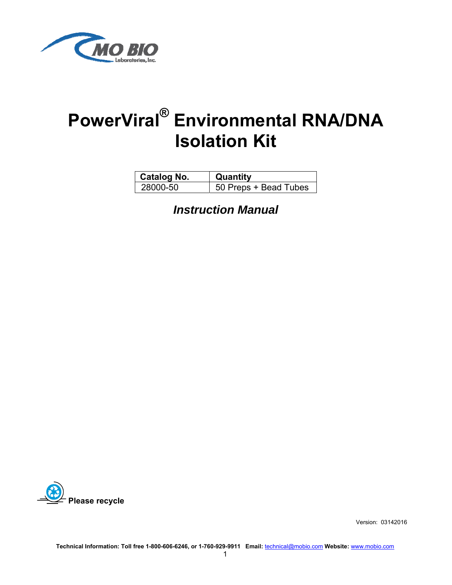

# **PowerViral® Environmental RNA/DNA Isolation Kit**

| <b>Catalog No.</b> | Quantity              |
|--------------------|-----------------------|
| 28000-50           | 50 Preps + Bead Tubes |

*Instruction Manual*



Version: 03142016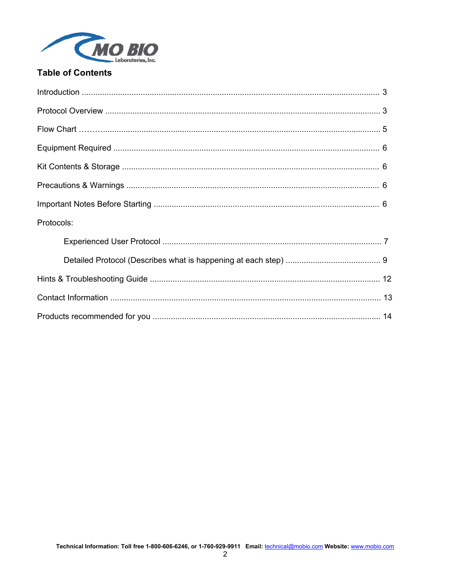

## **Table of Contents**

| Protocols: |  |
|------------|--|
|            |  |
|            |  |
|            |  |
|            |  |
|            |  |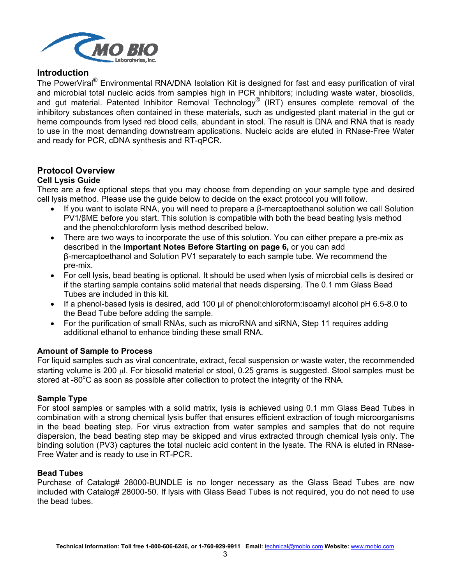

#### **Introduction**

The PowerViral<sup>®</sup> Environmental RNA/DNA Isolation Kit is designed for fast and easy purification of viral and microbial total nucleic acids from samples high in PCR inhibitors; including waste water, biosolids, and gut material. Patented Inhibitor Removal Technology® (IRT) ensures complete removal of the inhibitory substances often contained in these materials, such as undigested plant material in the gut or heme compounds from lysed red blood cells, abundant in stool. The result is DNA and RNA that is ready to use in the most demanding downstream applications. Nucleic acids are eluted in RNase-Free Water and ready for PCR, cDNA synthesis and RT-qPCR.

#### **Protocol Overview**

#### **Cell Lysis Guide**

There are a few optional steps that you may choose from depending on your sample type and desired cell lysis method. Please use the guide below to decide on the exact protocol you will follow.

- If you want to isolate RNA, you will need to prepare a β-mercaptoethanol solution we call Solution PV1/βME before you start. This solution is compatible with both the bead beating lysis method and the phenol:chloroform lysis method described below.
- There are two ways to incorporate the use of this solution. You can either prepare a pre-mix as described in the **Important Notes Before Starting on page 6,** or you can add β-mercaptoethanol and Solution PV1 separately to each sample tube. We recommend the pre-mix.
- For cell lysis, bead beating is optional. It should be used when lysis of microbial cells is desired or if the starting sample contains solid material that needs dispersing. The 0.1 mm Glass Bead Tubes are included in this kit.
- If a phenol-based lysis is desired, add 100 µl of phenol:chloroform:isoamyl alcohol pH 6.5-8.0 to the Bead Tube before adding the sample.
- For the purification of small RNAs, such as microRNA and siRNA, Step 11 requires adding additional ethanol to enhance binding these small RNA.

#### **Amount of Sample to Process**

For liquid samples such as viral concentrate, extract, fecal suspension or waste water, the recommended starting volume is 200 *ul.* For biosolid material or stool, 0.25 grams is suggested. Stool samples must be stored at -80 $\mathrm{^{\circ}C}$  as soon as possible after collection to protect the integrity of the RNA.

#### **Sample Type**

For stool samples or samples with a solid matrix, lysis is achieved using 0.1 mm Glass Bead Tubes in combination with a strong chemical lysis buffer that ensures efficient extraction of tough microorganisms in the bead beating step. For virus extraction from water samples and samples that do not require dispersion, the bead beating step may be skipped and virus extracted through chemical lysis only. The binding solution (PV3) captures the total nucleic acid content in the lysate. The RNA is eluted in RNase-Free Water and is ready to use in RT-PCR.

#### **Bead Tubes**

Purchase of Catalog# 28000-BUNDLE is no longer necessary as the Glass Bead Tubes are now included with Catalog# 28000-50. If lysis with Glass Bead Tubes is not required, you do not need to use the bead tubes.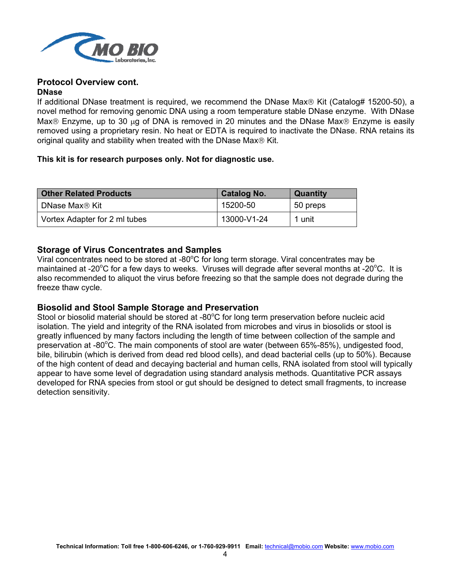

# **Protocol Overview cont.**

#### **DNase**

If additional DNase treatment is required, we recommend the DNase Max $\circledR$  Kit (Catalog# 15200-50), a novel method for removing genomic DNA using a room temperature stable DNase enzyme. With DNase Max $\otimes$  Enzyme, up to 30 µg of DNA is removed in 20 minutes and the DNase Max $\otimes$  Enzyme is easily removed using a proprietary resin. No heat or EDTA is required to inactivate the DNase. RNA retains its original quality and stability when treated with the DNase Max $\circledR$  Kit.

#### **This kit is for research purposes only. Not for diagnostic use.**

| <b>Other Related Products</b> | <b>Catalog No.</b> | <b>Quantity</b> |
|-------------------------------|--------------------|-----------------|
| DNase Max <sup>®</sup> Kit    | 15200-50           | 50 preps        |
| Vortex Adapter for 2 ml tubes | 13000-V1-24        | 1 unit          |

#### **Storage of Virus Concentrates and Samples**

Viral concentrates need to be stored at -80°C for long term storage. Viral concentrates may be maintained at -20°C for a few days to weeks. Viruses will degrade after several months at -20°C. It is also recommended to aliquot the virus before freezing so that the sample does not degrade during the freeze thaw cycle.

#### **Biosolid and Stool Sample Storage and Preservation**

Stool or biosolid material should be stored at -80°C for long term preservation before nucleic acid isolation. The yield and integrity of the RNA isolated from microbes and virus in biosolids or stool is greatly influenced by many factors including the length of time between collection of the sample and preservation at -80°C. The main components of stool are water (between 65%-85%), undigested food, bile, bilirubin (which is derived from dead red blood cells), and dead bacterial cells (up to 50%). Because of the high content of dead and decaying bacterial and human cells, RNA isolated from stool will typically appear to have some level of degradation using standard analysis methods. Quantitative PCR assays developed for RNA species from stool or gut should be designed to detect small fragments, to increase detection sensitivity.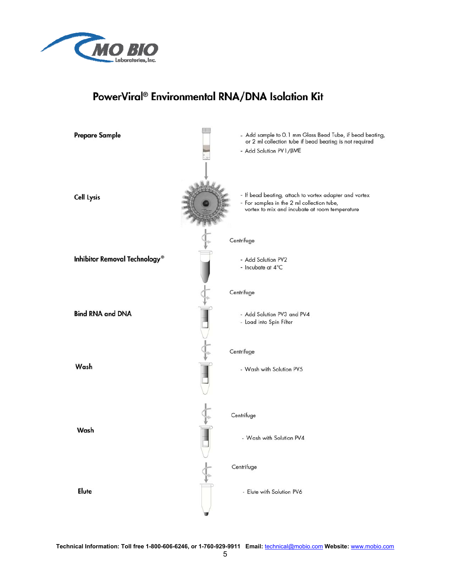

# PowerViral® Environmental RNA/DNA Isolation Kit



**Technical Information: Toll free 1-800-606-6246, or 1-760-929-9911 Email:** technical@mobio.com **Website:** www.mobio.com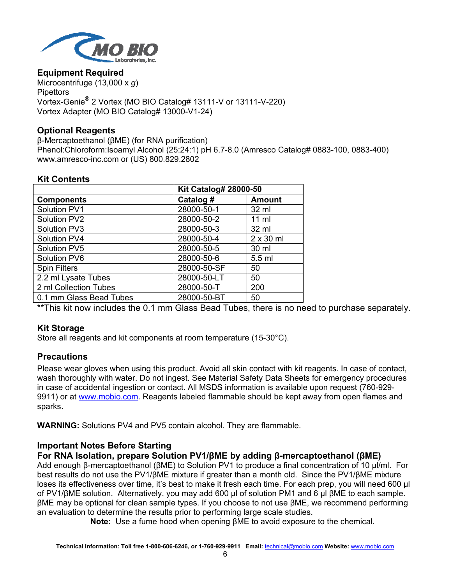

#### **Equipment Required**

Microcentrifuge (13,000 x *g*) **Pipettors** Vortex-Genie® 2 Vortex (MO BIO Catalog# 13111-V or 13111-V-220) Vortex Adapter (MO BIO Catalog# 13000-V1-24)

#### **Optional Reagents**

β-Mercaptoethanol (βME) (for RNA purification) Phenol:Chloroform:Isoamyl Alcohol (25:24:1) pH 6.7-8.0 (Amresco Catalog# 0883-100, 0883-400) www.amresco-inc.com or (US) 800.829.2802

#### **Kit Contents**

|                         | <b>Kit Catalog# 28000-50</b> |                  |
|-------------------------|------------------------------|------------------|
| <b>Components</b>       | Catalog #                    | <b>Amount</b>    |
| Solution PV1            | 28000-50-1                   | 32 ml            |
| Solution PV2            | 28000-50-2                   | $11$ ml          |
| Solution PV3            | 28000-50-3                   | 32 ml            |
| Solution PV4            | 28000-50-4                   | $2 \times 30$ ml |
| Solution PV5            | 28000-50-5                   | 30 ml            |
| Solution PV6            | 28000-50-6                   | 5.5 ml           |
| <b>Spin Filters</b>     | 28000-50-SF                  | 50               |
| 2.2 ml Lysate Tubes     | 28000-50-LT                  | 50               |
| 2 ml Collection Tubes   | 28000-50-T                   | 200              |
| 0.1 mm Glass Bead Tubes | 28000-50-BT                  | 50               |

\*\*This kit now includes the 0.1 mm Glass Bead Tubes, there is no need to purchase separately.

#### **Kit Storage**

Store all reagents and kit components at room temperature (15-30°C).

#### **Precautions**

Please wear gloves when using this product. Avoid all skin contact with kit reagents. In case of contact, wash thoroughly with water. Do not ingest. See Material Safety Data Sheets for emergency procedures in case of accidental ingestion or contact. All MSDS information is available upon request (760-929- 9911) or at www.mobio.com. Reagents labeled flammable should be kept away from open flames and sparks.

**WARNING:** Solutions PV4 and PV5 contain alcohol. They are flammable.

#### **Important Notes Before Starting**

#### **For RNA Isolation, prepare Solution PV1/βME by adding β-mercaptoethanol (βME)**

Add enough β-mercaptoethanol (βME) to Solution PV1 to produce a final concentration of 10 µl/ml. For best results do not use the PV1/βME mixture if greater than a month old. Since the PV1/βME mixture loses its effectiveness over time, it's best to make it fresh each time. For each prep, you will need 600 µl of PV1/βME solution. Alternatively, you may add 600 µl of solution PM1 and 6 µl βME to each sample. βME may be optional for clean sample types. If you choose to not use βME, we recommend performing an evaluation to determine the results prior to performing large scale studies.

**Note:** Use a fume hood when opening βME to avoid exposure to the chemical.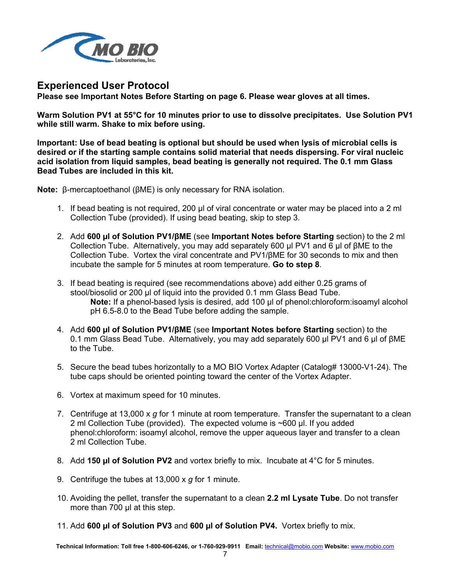

### **Experienced User Protocol**

**Please see Important Notes Before Starting on page 6. Please wear gloves at all times.** 

**Warm Solution PV1 at 55°C for 10 minutes prior to use to dissolve precipitates. Use Solution PV1 while still warm. Shake to mix before using.** 

**Important: Use of bead beating is optional but should be used when lysis of microbial cells is desired or if the starting sample contains solid material that needs dispersing. For viral nucleic acid isolation from liquid samples, bead beating is generally not required. The 0.1 mm Glass Bead Tubes are included in this kit.** 

**Note:** β-mercaptoethanol (βME) is only necessary for RNA isolation.

- 1. If bead beating is not required, 200 µl of viral concentrate or water may be placed into a 2 ml Collection Tube (provided). If using bead beating, skip to step 3.
- 2. Add **600 µl of Solution PV1/βME** (see **Important Notes before Starting** section) to the 2 ml Collection Tube. Alternatively, you may add separately 600 µl PV1 and 6 µl of βME to the Collection Tube. Vortex the viral concentrate and PV1/βME for 30 seconds to mix and then incubate the sample for 5 minutes at room temperature. **Go to step 8**.
- 3. If bead beating is required (see recommendations above) add either 0.25 grams of stool/biosolid or 200 µl of liquid into the provided 0.1 mm Glass Bead Tube. **Note:** If a phenol-based lysis is desired, add 100 µl of phenol:chloroform:isoamyl alcohol pH 6.5-8.0 to the Bead Tube before adding the sample.
- 4. Add **600 µl of Solution PV1/βME** (see **Important Notes before Starting** section) to the 0.1 mm Glass Bead Tube. Alternatively, you may add separately 600 µl PV1 and 6 µl of βME to the Tube.
- 5. Secure the bead tubes horizontally to a MO BIO Vortex Adapter (Catalog# 13000-V1-24). The tube caps should be oriented pointing toward the center of the Vortex Adapter.
- 6. Vortex at maximum speed for 10 minutes.
- 7. Centrifuge at 13,000 x *g* for 1 minute at room temperature. Transfer the supernatant to a clean 2 ml Collection Tube (provided). The expected volume is ~600 µl. If you added phenol:chloroform: isoamyl alcohol, remove the upper aqueous layer and transfer to a clean 2 ml Collection Tube.
- 8. Add **150 µl of Solution PV2** and vortex briefly to mix. Incubate at 4°C for 5 minutes.
- 9. Centrifuge the tubes at 13,000 x *g* for 1 minute.
- 10. Avoiding the pellet, transfer the supernatant to a clean **2.2 ml Lysate Tube**. Do not transfer more than 700 µl at this step.
- 11. Add **600 µl of Solution PV3** and **600 µl of Solution PV4.** Vortex briefly to mix.

**Technical Information: Toll free 1-800-606-6246, or 1-760-929-9911 Email:** technical@mobio.com **Website:** www.mobio.com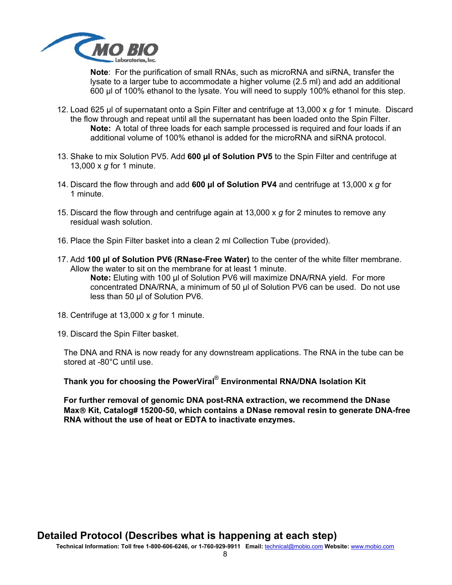

**Note**: For the purification of small RNAs, such as microRNA and siRNA, transfer the lysate to a larger tube to accommodate a higher volume (2.5 ml) and add an additional 600 µl of 100% ethanol to the lysate. You will need to supply 100% ethanol for this step.

- 12. Load 625 µl of supernatant onto a Spin Filter and centrifuge at 13,000 x *g* for 1 minute. Discard the flow through and repeat until all the supernatant has been loaded onto the Spin Filter. **Note:** A total of three loads for each sample processed is required and four loads if an additional volume of 100% ethanol is added for the microRNA and siRNA protocol.
- 13. Shake to mix Solution PV5. Add **600 µl of Solution PV5** to the Spin Filter and centrifuge at 13,000 x *g* for 1 minute.
- 14. Discard the flow through and add **600 µl of Solution PV4** and centrifuge at 13,000 x *g* for 1 minute.
- 15. Discard the flow through and centrifuge again at 13,000 x *g* for 2 minutes to remove any residual wash solution.
- 16. Place the Spin Filter basket into a clean 2 ml Collection Tube (provided).
- 17. Add **100 µl of Solution PV6 (RNase-Free Water)** to the center of the white filter membrane. Allow the water to sit on the membrane for at least 1 minute.

**Note:** Eluting with 100 µl of Solution PV6 will maximize DNA/RNA yield. For more concentrated DNA/RNA, a minimum of 50 µl of Solution PV6 can be used. Do not use less than 50 µl of Solution PV6.

- 18. Centrifuge at 13,000 x *g* for 1 minute.
- 19. Discard the Spin Filter basket.

The DNA and RNA is now ready for any downstream applications. The RNA in the tube can be stored at -80°C until use.

**Thank you for choosing the PowerViral**® **Environmental RNA/DNA Isolation Kit**

**For further removal of genomic DNA post-RNA extraction, we recommend the DNase Max Kit, Catalog# 15200-50, which contains a DNase removal resin to generate DNA-free RNA without the use of heat or EDTA to inactivate enzymes.**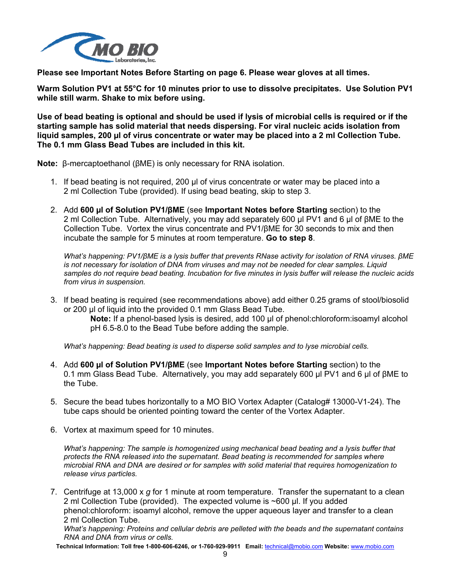

**Please see Important Notes Before Starting on page 6. Please wear gloves at all times.** 

**Warm Solution PV1 at 55°C for 10 minutes prior to use to dissolve precipitates. Use Solution PV1 while still warm. Shake to mix before using.** 

**Use of bead beating is optional and should be used if lysis of microbial cells is required or if the starting sample has solid material that needs dispersing. For viral nucleic acids isolation from liquid samples, 200 µl of virus concentrate or water may be placed into a 2 ml Collection Tube. The 0.1 mm Glass Bead Tubes are included in this kit.** 

**Note:** β-mercaptoethanol (βME) is only necessary for RNA isolation.

- 1. If bead beating is not required, 200 µl of virus concentrate or water may be placed into a 2 ml Collection Tube (provided). If using bead beating, skip to step 3.
- 2. Add **600 µl of Solution PV1/βME** (see **Important Notes before Starting** section) to the 2 ml Collection Tube. Alternatively, you may add separately 600 µl PV1 and 6 µl of βME to the Collection Tube. Vortex the virus concentrate and PV1/βME for 30 seconds to mix and then incubate the sample for 5 minutes at room temperature. **Go to step 8**.

*What's happening: PV1/βME is a lysis buffer that prevents RNase activity for isolation of RNA viruses. βME is not necessary for isolation of DNA from viruses and may not be needed for clear samples. Liquid samples do not require bead beating. Incubation for five minutes in lysis buffer will release the nucleic acids from virus in suspension.* 

3. If bead beating is required (see recommendations above) add either 0.25 grams of stool/biosolid or 200 µl of liquid into the provided 0.1 mm Glass Bead Tube. **Note:** If a phenol-based lysis is desired, add 100 µl of phenol:chloroform:isoamyl alcohol pH 6.5-8.0 to the Bead Tube before adding the sample.

*What's happening: Bead beating is used to disperse solid samples and to lyse microbial cells.* 

- 4. Add **600 µl of Solution PV1/βME** (see **Important Notes before Starting** section) to the 0.1 mm Glass Bead Tube. Alternatively, you may add separately 600 µl PV1 and 6 µl of βME to the Tube.
- 5. Secure the bead tubes horizontally to a MO BIO Vortex Adapter (Catalog# 13000-V1-24). The tube caps should be oriented pointing toward the center of the Vortex Adapter.
- 6. Vortex at maximum speed for 10 minutes.

*What's happening: The sample is homogenized using mechanical bead beating and a lysis buffer that protects the RNA released into the supernatant. Bead beating is recommended for samples where microbial RNA and DNA are desired or for samples with solid material that requires homogenization to release virus particles.* 

7. Centrifuge at 13,000 x *g* for 1 minute at room temperature. Transfer the supernatant to a clean 2 ml Collection Tube (provided). The expected volume is ~600 µl. If you added phenol:chloroform: isoamyl alcohol, remove the upper aqueous layer and transfer to a clean 2 ml Collection Tube.

*What's happening: Proteins and cellular debris are pelleted with the beads and the supernatant contains RNA and DNA from virus or cells.* 

**Technical Information: Toll free 1-800-606-6246, or 1-760-929-9911 Email:** technical@mobio.com **Website:** www.mobio.com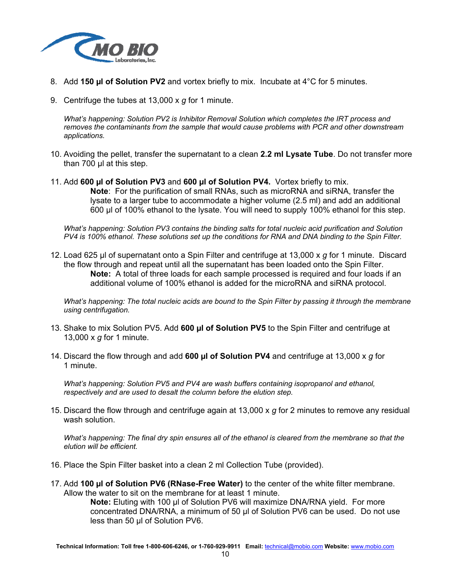

- 8. Add **150 µl of Solution PV2** and vortex briefly to mix. Incubate at 4°C for 5 minutes.
- 9. Centrifuge the tubes at 13,000 x *g* for 1 minute.

*What's happening: Solution PV2 is Inhibitor Removal Solution which completes the IRT process and removes the contaminants from the sample that would cause problems with PCR and other downstream applications.* 

- 10. Avoiding the pellet, transfer the supernatant to a clean **2.2 ml Lysate Tube**. Do not transfer more than 700 ul at this step.
- 11. Add **600 µl of Solution PV3** and **600 µl of Solution PV4.** Vortex briefly to mix. **Note**: For the purification of small RNAs, such as microRNA and siRNA, transfer the lysate to a larger tube to accommodate a higher volume (2.5 ml) and add an additional 600 µl of 100% ethanol to the lysate. You will need to supply 100% ethanol for this step.

*What's happening: Solution PV3 contains the binding salts for total nucleic acid purification and Solution PV4 is 100% ethanol. These solutions set up the conditions for RNA and DNA binding to the Spin Filter.* 

12. Load 625 µl of supernatant onto a Spin Filter and centrifuge at 13,000 x *g* for 1 minute. Discard the flow through and repeat until all the supernatant has been loaded onto the Spin Filter. **Note:** A total of three loads for each sample processed is required and four loads if an additional volume of 100% ethanol is added for the microRNA and siRNA protocol.

*What's happening: The total nucleic acids are bound to the Spin Filter by passing it through the membrane using centrifugation.* 

- 13. Shake to mix Solution PV5. Add **600 µl of Solution PV5** to the Spin Filter and centrifuge at 13,000 x *g* for 1 minute.
- 14. Discard the flow through and add **600 µl of Solution PV4** and centrifuge at 13,000 x *g* for 1 minute.

*What's happening: Solution PV5 and PV4 are wash buffers containing isopropanol and ethanol, respectively and are used to desalt the column before the elution step.* 

15. Discard the flow through and centrifuge again at 13,000 x *g* for 2 minutes to remove any residual wash solution.

*What's happening: The final dry spin ensures all of the ethanol is cleared from the membrane so that the elution will be efficient.* 

- 16. Place the Spin Filter basket into a clean 2 ml Collection Tube (provided).
- 17. Add **100 µl of Solution PV6 (RNase-Free Water)** to the center of the white filter membrane. Allow the water to sit on the membrane for at least 1 minute.

**Note:** Eluting with 100 µl of Solution PV6 will maximize DNA/RNA yield. For more concentrated DNA/RNA, a minimum of 50 µl of Solution PV6 can be used. Do not use less than 50 µl of Solution PV6.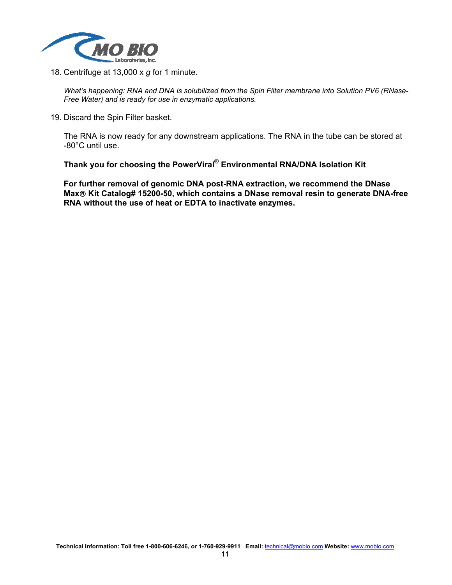

18. Centrifuge at 13,000 x *g* for 1 minute.

*What's happening: RNA and DNA is solubilized from the Spin Filter membrane into Solution PV6 (RNase-Free Water) and is ready for use in enzymatic applications.* 

19. Discard the Spin Filter basket.

The RNA is now ready for any downstream applications. The RNA in the tube can be stored at -80°C until use.

**Thank you for choosing the PowerViral**® **Environmental RNA/DNA Isolation Kit**

**For further removal of genomic DNA post-RNA extraction, we recommend the DNase Max Kit Catalog# 15200-50, which contains a DNase removal resin to generate DNA-free RNA without the use of heat or EDTA to inactivate enzymes.**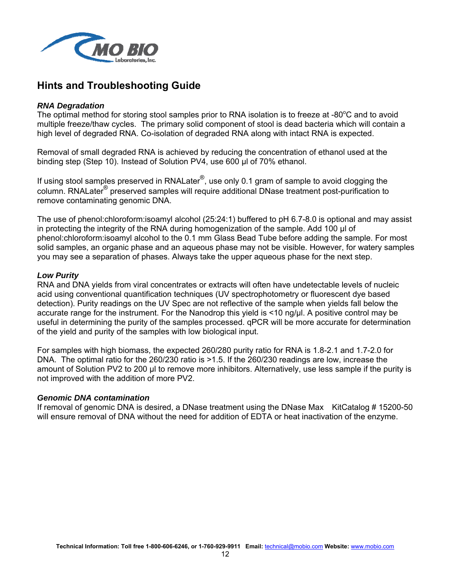

# **Hints and Troubleshooting Guide**

#### *RNA Degradation*

The optimal method for storing stool samples prior to RNA isolation is to freeze at -80 $\degree$ C and to avoid multiple freeze/thaw cycles. The primary solid component of stool is dead bacteria which will contain a high level of degraded RNA. Co-isolation of degraded RNA along with intact RNA is expected.

Removal of small degraded RNA is achieved by reducing the concentration of ethanol used at the binding step (Step 10). Instead of Solution PV4, use 600 µl of 70% ethanol.

If using stool samples preserved in RNALater<sup>®</sup>, use only 0.1 gram of sample to avoid clogging the column. RNALater® preserved samples will require additional DNase treatment post-purification to remove contaminating genomic DNA.

The use of phenol:chloroform:isoamyl alcohol (25:24:1) buffered to pH 6.7-8.0 is optional and may assist in protecting the integrity of the RNA during homogenization of the sample. Add 100 µl of phenol:chloroform:isoamyl alcohol to the 0.1 mm Glass Bead Tube before adding the sample. For most solid samples, an organic phase and an aqueous phase may not be visible. However, for watery samples you may see a separation of phases. Always take the upper aqueous phase for the next step.

#### *Low Purity*

RNA and DNA yields from viral concentrates or extracts will often have undetectable levels of nucleic acid using conventional quantification techniques (UV spectrophotometry or fluorescent dye based detection). Purity readings on the UV Spec are not reflective of the sample when yields fall below the accurate range for the instrument. For the Nanodrop this yield is <10 ng/µl. A positive control may be useful in determining the purity of the samples processed. qPCR will be more accurate for determination of the yield and purity of the samples with low biological input.

For samples with high biomass, the expected 260/280 purity ratio for RNA is 1.8-2.1 and 1.7-2.0 for DNA. The optimal ratio for the 260/230 ratio is >1.5. If the 260/230 readings are low, increase the amount of Solution PV2 to 200 µl to remove more inhibitors. Alternatively, use less sample if the purity is not improved with the addition of more PV2.

#### *Genomic DNA contamination*

If removal of genomic DNA is desired, a DNase treatment using the DNase Max KitCatalog # 15200-50 will ensure removal of DNA without the need for addition of EDTA or heat inactivation of the enzyme.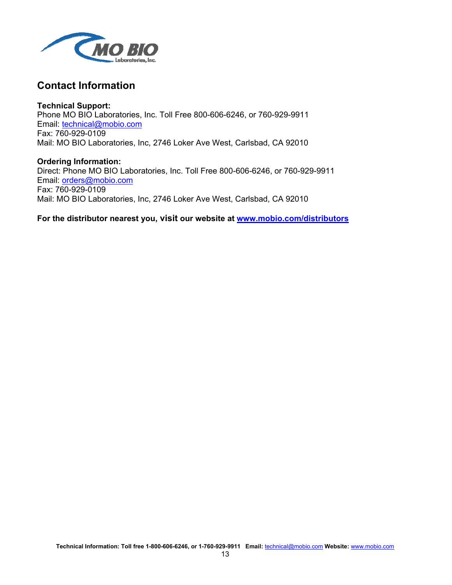

## **Contact Information**

**Technical Support:**  Phone MO BIO Laboratories, Inc. Toll Free 800-606-6246, or 760-929-9911 Email: technical@mobio.com Fax: 760-929-0109 Mail: MO BIO Laboratories, Inc, 2746 Loker Ave West, Carlsbad, CA 92010

**Ordering Information:**  Direct: Phone MO BIO Laboratories, Inc. Toll Free 800-606-6246, or 760-929-9911 Email: orders@mobio.com Fax: 760-929-0109 Mail: MO BIO Laboratories, Inc, 2746 Loker Ave West, Carlsbad, CA 92010

**For the distributor nearest you, visit our website at www.mobio.com/distributors**